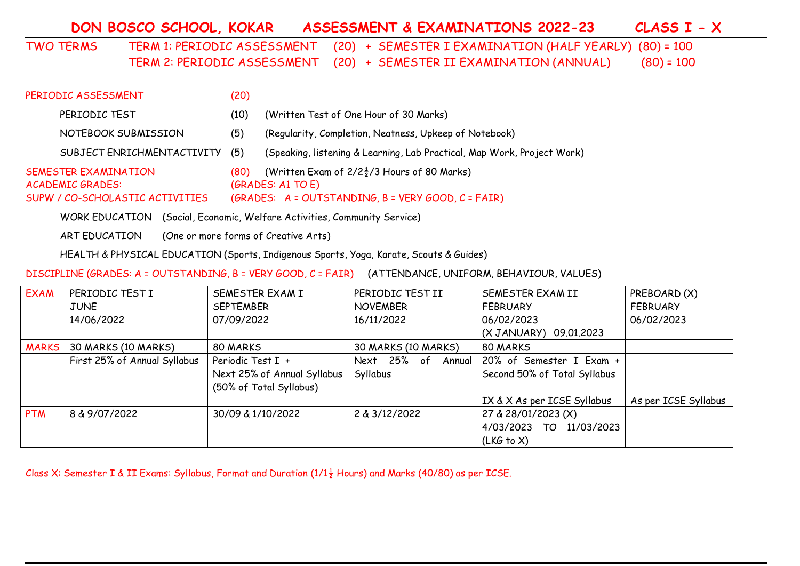**DON BOSCO SCHOOL, KOKAR ASSESSMENT & EXAMINATIONS 2022-23 CLASS I - X**

TWO TERMS TERM 1: PERIODIC ASSESSMENT (20) + SEMESTER I EXAMINATION (HALF YEARLY) (80) = 100 TERM 2: PERIODIC ASSESSMENT (20) + SEMESTER II EXAMINATION (ANNUAL) (80) = 100

| PERIODIC ASSESSMENT                                                                       | (20) |                                                                                                                                      |
|-------------------------------------------------------------------------------------------|------|--------------------------------------------------------------------------------------------------------------------------------------|
| PERIODIC TEST                                                                             | (10) | (Written Test of One Hour of 30 Marks)                                                                                               |
| NOTEBOOK SUBMISSION                                                                       | (5)  | (Regularity, Completion, Neatness, Upkeep of Notebook)                                                                               |
| SUBJECT ENRICHMENTACTIVITY                                                                | (5)  | (Speaking, listening & Learning, Lab Practical, Map Work, Project Work)                                                              |
| <b>SEMESTER EXAMINATION</b><br><b>ACADEMIC GRADES:</b><br>SUPW / CO-SCHOLASTIC ACTIVITIES | (80) | (Written Exam of $2/2\frac{1}{2}/3$ Hours of 80 Marks)<br>(GRADES: A1 TO E)<br>(GRADES: $A = OUTSTANDING, B = VERY GOOD, C = FAIR$ ) |

WORK EDUCATION (Social, Economic, Welfare Activities, Community Service)

ART EDUCATION (One or more forms of Creative Arts)

HEALTH & PHYSICAL EDUCATION (Sports, Indigenous Sports, Yoga, Karate, Scouts & Guides)

DISCIPLINE (GRADES: A = OUTSTANDING, B = VERY GOOD, C = FAIR) (ATTENDANCE, UNIFORM, BEHAVIOUR, VALUES)

| <b>EXAM</b>  | PERIODIC TEST I              | SEMESTER EXAM I             | PERIODIC TEST II      | SEMESTER EXAM II             | PREBOARD (X)         |
|--------------|------------------------------|-----------------------------|-----------------------|------------------------------|----------------------|
|              | <b>JUNE</b>                  | <b>SEPTEMBER</b>            | <b>NOVEMBER</b>       | <b>FEBRUARY</b>              | <b>FEBRUARY</b>      |
|              | 14/06/2022                   | 07/09/2022                  | 16/11/2022            | 06/02/2023                   | 06/02/2023           |
|              |                              |                             |                       | (X JANUARY) 09.01.2023       |                      |
| <b>MARKS</b> | 30 MARKS (10 MARKS)          | 80 MARKS                    | 30 MARKS (10 MARKS)   | 80 MARKS                     |                      |
|              | First 25% of Annual Syllabus | Periodic Test I +           | Next 25% of<br>Annual | 20% of Semester I Exam +     |                      |
|              |                              | Next 25% of Annual Syllabus | Syllabus              | Second 50% of Total Syllabus |                      |
|              |                              | (50% of Total Syllabus)     |                       |                              |                      |
|              |                              |                             |                       | IX & X As per ICSE Syllabus  | As per ICSE Syllabus |
| <b>PTM</b>   | 8 & 9/07/2022                | 30/09 & 1/10/2022           | 2 & 3/12/2022         | 27 & 28/01/2023 (X)          |                      |
|              |                              |                             |                       | 4/03/2023 TO<br>11/03/2023   |                      |
|              |                              |                             |                       | (LKG to X)                   |                      |

Class X: Semester I & II Exams: Syllabus, Format and Duration ( $1/1\frac{1}{2}$  Hours) and Marks (40/80) as per ICSE.